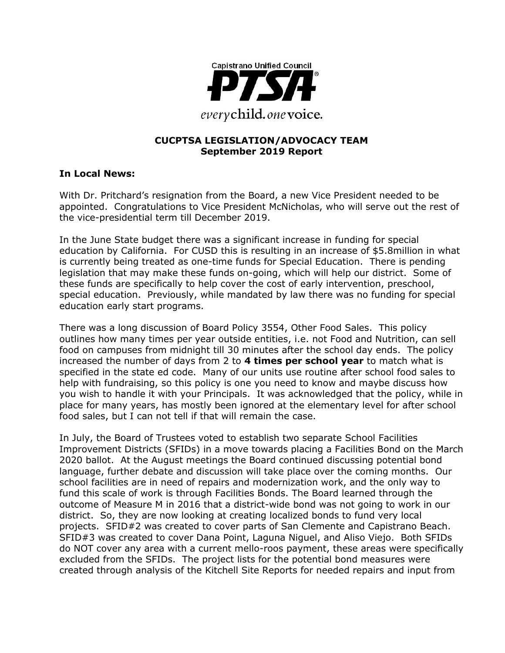

#### **CUCPTSA LEGISLATION/ADVOCACY TEAM September 2019 Report**

#### **In Local News:**

With Dr. Pritchard's resignation from the Board, a new Vice President needed to be appointed. Congratulations to Vice President McNicholas, who will serve out the rest of the vice-presidential term till December 2019.

In the June State budget there was a significant increase in funding for special education by California. For CUSD this is resulting in an increase of \$5.8million in what is currently being treated as one-time funds for Special Education. There is pending legislation that may make these funds on-going, which will help our district. Some of these funds are specifically to help cover the cost of early intervention, preschool, special education. Previously, while mandated by law there was no funding for special education early start programs.

There was a long discussion of Board Policy 3554, Other Food Sales. This policy outlines how many times per year outside entities, i.e. not Food and Nutrition, can sell food on campuses from midnight till 30 minutes after the school day ends. The policy increased the number of days from 2 to **4 times per school year** to match what is specified in the state ed code. Many of our units use routine after school food sales to help with fundraising, so this policy is one you need to know and maybe discuss how you wish to handle it with your Principals. It was acknowledged that the policy, while in place for many years, has mostly been ignored at the elementary level for after school food sales, but I can not tell if that will remain the case.

In July, the Board of Trustees voted to establish two separate School Facilities Improvement Districts (SFIDs) in a move towards placing a Facilities Bond on the March 2020 ballot. At the August meetings the Board continued discussing potential bond language, further debate and discussion will take place over the coming months. Our school facilities are in need of repairs and modernization work, and the only way to fund this scale of work is through Facilities Bonds. The Board learned through the outcome of Measure M in 2016 that a district-wide bond was not going to work in our district. So, they are now looking at creating localized bonds to fund very local projects. SFID#2 was created to cover parts of San Clemente and Capistrano Beach. SFID#3 was created to cover Dana Point, Laguna Niguel, and Aliso Viejo. Both SFIDs do NOT cover any area with a current mello-roos payment, these areas were specifically excluded from the SFIDs. The project lists for the potential bond measures were created through analysis of the Kitchell Site Reports for needed repairs and input from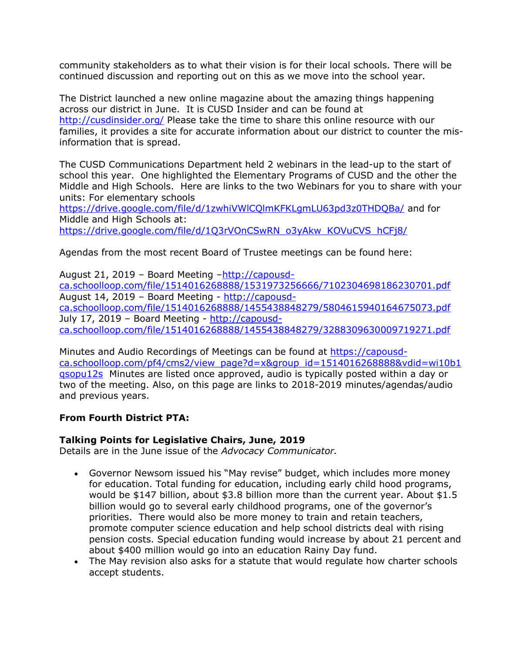community stakeholders as to what their vision is for their local schools. There will be continued discussion and reporting out on this as we move into the school year.

The District launched a new online magazine about the amazing things happening across our district in June. It is CUSD Insider and can be found at <http://cusdinsider.org/> Please take the time to share this online resource with our families, it provides a site for accurate information about our district to counter the misinformation that is spread.

The CUSD Communications Department held 2 webinars in the lead-up to the start of school this year. One highlighted the Elementary Programs of CUSD and the other the Middle and High Schools. Here are links to the two Webinars for you to share with your units: For elementary schools

<https://drive.google.com/file/d/1zwhiVWlCQlmKFKLgmLU63pd3z0THDQBa/> and for Middle and High Schools at: [https://drive.google.com/file/d/1Q3rVOnCSwRN\\_o3yAkw\\_KOVuCVS\\_hCFj8/](https://drive.google.com/file/d/1Q3rVOnCSwRN_o3yAkw_KOVuCVS_hCFj8/)

Agendas from the most recent Board of Trustee meetings can be found here:

August 21, 2019 – Board Meeting –[http://capousd](http://capousd-ca.schoolloop.com/file/1514016268888/1531973256666/7102304698186230701.pdf)[ca.schoolloop.com/file/1514016268888/1531973256666/7102304698186230701.pdf](http://capousd-ca.schoolloop.com/file/1514016268888/1531973256666/7102304698186230701.pdf) August 14, 2019 – Board Meeting - [http://capousd](http://capousd-ca.schoolloop.com/file/1514016268888/1455438848279/5804615940164675073.pdf)[ca.schoolloop.com/file/1514016268888/1455438848279/5804615940164675073.pdf](http://capousd-ca.schoolloop.com/file/1514016268888/1455438848279/5804615940164675073.pdf) July 17, 2019 – Board Meeting - [http://capousd](http://capousd-ca.schoolloop.com/file/1514016268888/1455438848279/3288309630009719271.pdf)[ca.schoolloop.com/file/1514016268888/1455438848279/3288309630009719271.pdf](http://capousd-ca.schoolloop.com/file/1514016268888/1455438848279/3288309630009719271.pdf)

Minutes and Audio Recordings of Meetings can be found at [https://capousd](https://capousd-ca.schoolloop.com/pf4/cms2/view_page?d=x&group_id=1514016268888&vdid=wi10b1qsopu12s)[ca.schoolloop.com/pf4/cms2/view\\_page?d=x&group\\_id=1514016268888&vdid=wi10b1](https://capousd-ca.schoolloop.com/pf4/cms2/view_page?d=x&group_id=1514016268888&vdid=wi10b1qsopu12s) [qsopu12s](https://capousd-ca.schoolloop.com/pf4/cms2/view_page?d=x&group_id=1514016268888&vdid=wi10b1qsopu12s) Minutes are listed once approved, audio is typically posted within a day or two of the meeting. Also, on this page are links to 2018-2019 minutes/agendas/audio and previous years.

### **From Fourth District PTA:**

### **Talking Points for Legislative Chairs, June, 2019**

Details are in the June issue of the *Advocacy Communicator.*

- Governor Newsom issued his "May revise" budget, which includes more money for education. Total funding for education, including early child hood programs, would be \$147 billion, about \$3.8 billion more than the current year. About \$1.5 billion would go to several early childhood programs, one of the governor's priorities. There would also be more money to train and retain teachers, promote computer science education and help school districts deal with rising pension costs. Special education funding would increase by about 21 percent and about \$400 million would go into an education Rainy Day fund.
- The May revision also asks for a statute that would regulate how charter schools accept students.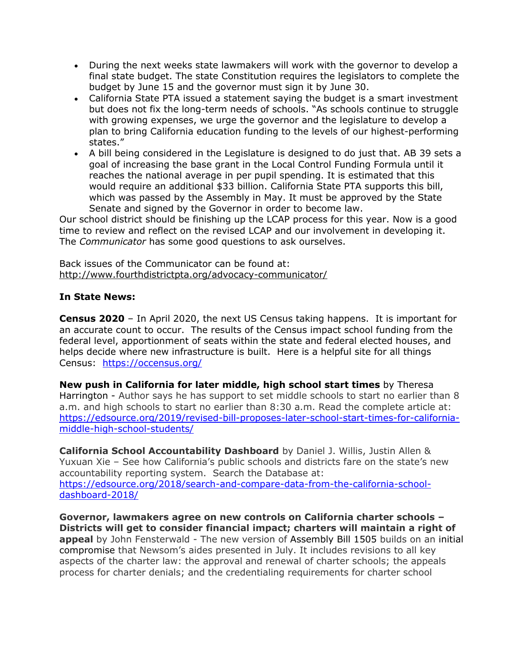- During the next weeks state lawmakers will work with the governor to develop a final state budget. The state Constitution requires the legislators to complete the budget by June 15 and the governor must sign it by June 30.
- California State PTA issued a statement saying the budget is a smart investment but does not fix the long-term needs of schools. "As schools continue to struggle with growing expenses, we urge the governor and the legislature to develop a plan to bring California education funding to the levels of our highest-performing states."
- A bill being considered in the Legislature is designed to do just that. AB 39 sets a goal of increasing the base grant in the Local Control Funding Formula until it reaches the national average in per pupil spending. It is estimated that this would require an additional \$33 billion. California State PTA supports this bill, which was passed by the Assembly in May. It must be approved by the State Senate and signed by the Governor in order to become law.

Our school district should be finishing up the LCAP process for this year. Now is a good time to review and reflect on the revised LCAP and our involvement in developing it. The *Communicator* has some good questions to ask ourselves.

Back issues of the Communicator can be found at: <http://www.fourthdistrictpta.org/advocacy-communicator/>

### **In State News:**

**Census 2020** – In April 2020, the next US Census taking happens. It is important for an accurate count to occur. The results of the Census impact school funding from the federal level, apportionment of seats within the state and federal elected houses, and helps decide where new infrastructure is built. Here is a helpful site for all things Census: <https://occensus.org/>

**New push in California for later middle, high school start times** by Theresa Harrington - Author says he has support to set middle schools to start no earlier than 8 a.m. and high schools to start no earlier than 8:30 a.m. Read the complete article at: [https://edsource.org/2019/revised-bill-proposes-later-school-start-times-for-california](https://edsource.org/2019/revised-bill-proposes-later-school-start-times-for-california-middle-high-school-students/)[middle-high-school-students/](https://edsource.org/2019/revised-bill-proposes-later-school-start-times-for-california-middle-high-school-students/)

**California School Accountability Dashboard** by Daniel J. Willis, Justin Allen & Yuxuan Xie – See how California's public schools and districts fare on the state's new accountability reporting system. Search the Database at: [https://edsource.org/2018/search-and-compare-data-from-the-california-school](https://edsource.org/2018/search-and-compare-data-from-the-california-school-dashboard-2018/)[dashboard-2018/](https://edsource.org/2018/search-and-compare-data-from-the-california-school-dashboard-2018/)

**Governor, lawmakers agree on new controls on California charter schools – Districts will get to consider financial impact; charters will maintain a right of appeal** by John Fensterwald - The new version of Assembly Bill 1505 builds on an initial compromise that Newsom's aides presented in July. It includes revisions to all key aspects of the charter law: the approval and renewal of charter schools; the appeals process for charter denials; and the credentialing requirements for charter school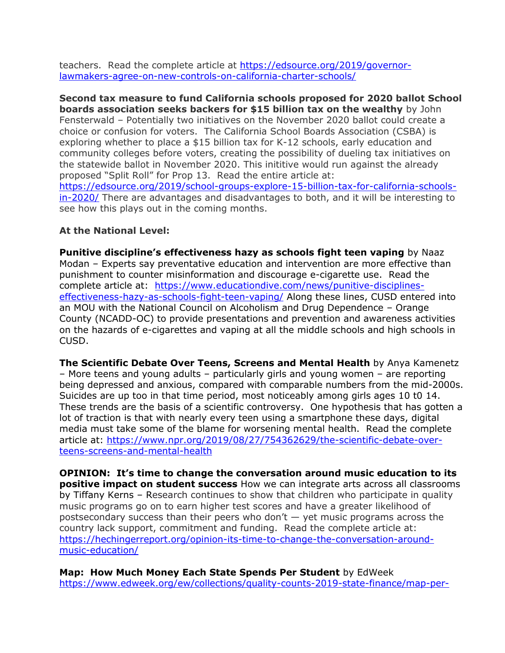teachers. Read the complete article at [https://edsource.org/2019/governor](https://edsource.org/2019/governor-lawmakers-agree-on-new-controls-on-california-charter-schools/)[lawmakers-agree-on-new-controls-on-california-charter-schools/](https://edsource.org/2019/governor-lawmakers-agree-on-new-controls-on-california-charter-schools/)

**Second tax measure to fund California schools proposed for 2020 ballot School boards association seeks backers for \$15 billion tax on the wealthy** by John Fensterwald – Potentially two initiatives on the November 2020 ballot could create a choice or confusion for voters. The California School Boards Association (CSBA) is exploring whether to place a \$15 billion tax for K-12 schools, early education and community colleges before voters, creating the possibility of dueling tax initiatives on the statewide ballot in November 2020. This inititive would run against the already proposed "Split Roll" for Prop 13. Read the entire article at: [https://edsource.org/2019/school-groups-explore-15-billion-tax-for-california-schools](https://edsource.org/2019/school-groups-explore-15-billion-tax-for-california-schools-in-2020/)[in-2020/](https://edsource.org/2019/school-groups-explore-15-billion-tax-for-california-schools-in-2020/) There are advantages and disadvantages to both, and it will be interesting to see how this plays out in the coming months.

### **At the National Level:**

**Punitive discipline's effectiveness hazy as schools fight teen vaping** by Naaz Modan – Experts say preventative education and intervention are more effective than punishment to counter misinformation and discourage e-cigarette use. Read the complete article at: [https://www.educationdive.com/news/punitive-disciplines](https://www.educationdive.com/news/punitive-disciplines-effectiveness-hazy-as-schools-fight-teen-vaping/)[effectiveness-hazy-as-schools-fight-teen-vaping/](https://www.educationdive.com/news/punitive-disciplines-effectiveness-hazy-as-schools-fight-teen-vaping/) Along these lines, CUSD entered into an MOU with the National Council on Alcoholism and Drug Dependence – Orange County (NCADD-OC) to provide presentations and prevention and awareness activities on the hazards of e-cigarettes and vaping at all the middle schools and high schools in CUSD.

**The Scientific Debate Over Teens, Screens and Mental Health** by Anya Kamenetz – More teens and young adults – particularly girls and young women – are reporting being depressed and anxious, compared with comparable numbers from the mid-2000s. Suicides are up too in that time period, most noticeably among girls ages 10 t0 14. These trends are the basis of a scientific controversy. One hypothesis that has gotten a lot of traction is that with nearly every teen using a smartphone these days, digital media must take some of the blame for worsening mental health. Read the complete article at: [https://www.npr.org/2019/08/27/754362629/the-scientific-debate-over](https://www.npr.org/2019/08/27/754362629/the-scientific-debate-over-teens-screens-and-mental-health)[teens-screens-and-mental-health](https://www.npr.org/2019/08/27/754362629/the-scientific-debate-over-teens-screens-and-mental-health)

**OPINION: It's time to change the conversation around music education to its positive impact on student success** How we can integrate arts across all classrooms by Tiffany Kerns – Research continues to show that children who participate in quality music programs go on to earn higher test scores and have a greater likelihood of postsecondary success than their peers who don't  $-$  yet music programs across the country lack support, commitment and funding. Read the complete article at: [https://hechingerreport.org/opinion-its-time-to-change-the-conversation-around](https://hechingerreport.org/opinion-its-time-to-change-the-conversation-around-music-education/)[music-education/](https://hechingerreport.org/opinion-its-time-to-change-the-conversation-around-music-education/)

**Map: How Much Money Each State Spends Per Student** by EdWeek [https://www.edweek.org/ew/collections/quality-counts-2019-state-finance/map-per-](https://www.edweek.org/ew/collections/quality-counts-2019-state-finance/map-per-pupil-spending-state-by-state.html)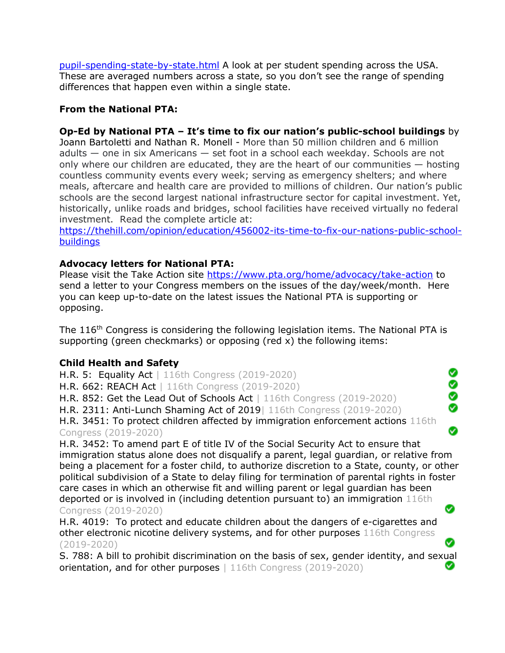[pupil-spending-state-by-state.html](https://www.edweek.org/ew/collections/quality-counts-2019-state-finance/map-per-pupil-spending-state-by-state.html) A look at per student spending across the USA. These are averaged numbers across a state, so you don't see the range of spending differences that happen even within a single state.

## **From the National PTA:**

## **Op-Ed by National PTA – It's time to fix our nation's public-school buildings** by

Joann Bartoletti and Nathan R. Monell - More than 50 million children and 6 million adults — one in six Americans — set foot in a school each weekday. Schools are not only where our children are educated, they are the heart of our communities — hosting countless community events every week; serving as emergency shelters; and where meals, aftercare and health care are provided to millions of children. Our nation's public schools are the second largest national infrastructure sector for capital investment. Yet, historically, unlike roads and bridges, school facilities have received virtually no federal investment. Read the complete article at:

[https://thehill.com/opinion/education/456002-its-time-to-fix-our-nations-public-school](https://thehill.com/opinion/education/456002-its-time-to-fix-our-nations-public-school-buildings)**[buildings](https://thehill.com/opinion/education/456002-its-time-to-fix-our-nations-public-school-buildings)** 

### **Advocacy letters for National PTA:**

Please visit the Take Action site<https://www.pta.org/home/advocacy/take-action> to send a letter to your Congress members on the issues of the day/week/month. Here you can keep up-to-date on the latest issues the National PTA is supporting or opposing.

The 116<sup>th</sup> Congress is considering the following legislation items. The National PTA is supporting (green checkmarks) or opposing (red x) the following items:

> Ø **.**<br>9

Ø

◙

### **Child Health and Safety**

H.R. 5: Equality Act | 116th Congress (2019-2020) H.R. 662: REACH Act | 116th Congress (2019-2020) H.R. 852: Get the Lead Out of Schools Act | 116th Congress (2019-2020) H.R. 2311: Anti-Lunch Shaming Act of 2019| 116th Congress (2019-2020) H.R. 3451: To protect children affected by immigration enforcement actions 116th Congress (2019-2020)

H.R. 3452: To amend part E of title IV of the Social Security Act to ensure that immigration status alone does not disqualify a parent, legal guardian, or relative from being a placement for a foster child, to authorize discretion to a State, county, or other political subdivision of a State to delay filing for termination of parental rights in foster care cases in which an otherwise fit and willing parent or legal guardian has been deported or is involved in (including detention pursuant to) an immigration 116th Ø Congress (2019-2020)

H.R. 4019: To protect and educate children about the dangers of e-cigarettes and other electronic nicotine delivery systems, and for other purposes 116th Congress (2019-2020)

S. 788: A bill to prohibit discrimination on the basis of sex, gender identity, and sexual orientation, and for other purposes | 116th Congress (2019-2020)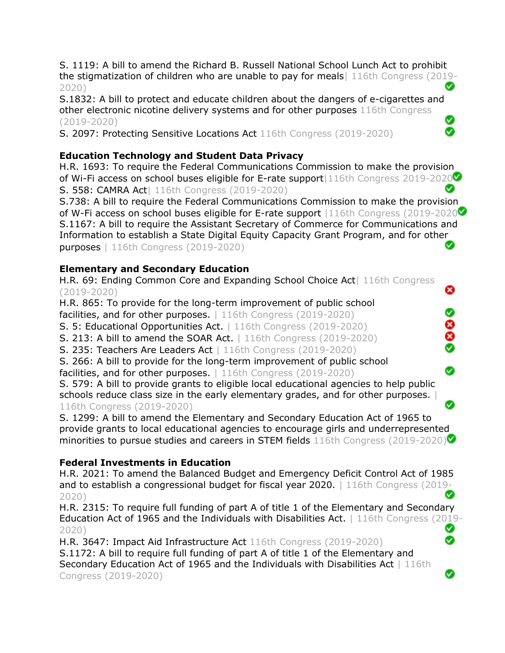S. 1119: A bill to amend the Richard B. Russell National School Lunch Act to prohibit the stigmatization of children who are unable to pay for meals| 116th Congress (2019- Ø 2020)

S.1832: A bill to protect and educate children about the dangers of e-cigarettes and other electronic nicotine delivery systems and for other purposes 116th Congress (2019-2020) Ø

S. 2097: Protecting Sensitive Locations Act 116th Congress (2019-2020)

## **Education Technology and Student Data Privacy**

H.R. 1693: To require the Federal Communications Commission to make the provision of Wi-Fi access on school buses eligible for E-rate support 116th Congress 2019-2020 S. 558: CAMRA Act| 116th Congress (2019-2020) Ø

S.738: A bill to require the Federal Communications Commission to make the provision of W-Fi access on school buses eligible for E-rate support |116th Congress (2019-2020 S.1167: A bill to require the Assistant Secretary of Commerce for Communications and Information to establish a State Digital Equity Capacity Grant Program, and for other Ø purposes | 116th Congress (2019-2020)

❸

0

8<br>0

⊗

Ø

Ø

Ø

## **Elementary and Secondary Education**

H.R. 69: Ending Common Core and Expanding School Choice Act| 116th Congress (2019-2020)

H.R. 865: To provide for the long-term improvement of public school

facilities, and for other purposes. 116th Congress (2019-2020)

S. 5: Educational Opportunities Act. | 116th Congress (2019-2020)

S. 213: A bill to amend the SOAR Act. | 116th Congress (2019-2020)

S. 235: Teachers Are Leaders Act | 116th Congress (2019-2020)

S. 266: A bill to provide for the long-term improvement of public school facilities, and for other purposes. | 116th Congress (2019-2020)

S. 579: A bill to provide grants to eligible local educational agencies to help public schools reduce class size in the early elementary grades, and for other purposes. | 116th Congress (2019-2020)

S. 1299: A bill to amend the Elementary and Secondary Education Act of 1965 to provide grants to local educational agencies to encourage girls and underrepresented minorities to pursue studies and careers in STEM fields 116th Congress (2019-2020)

# **Federal Investments in Education**

H.R. 2021: To amend the Balanced Budget and Emergency Deficit Control Act of 1985 and to establish a congressional budget for fiscal year 2020. | 116th Congress (2019- Ø 2020)

H.R. 2315: To require full funding of part A of title 1 of the Elementary and Secondary Education Act of 1965 and the Individuals with Disabilities Act. | 116th Congress (2019- Ø 2020) Ø

H.R. 3647: Impact Aid Infrastructure Act 116th Congress (2019-2020) S.1172: A bill to require full funding of part A of title 1 of the Elementary and Secondary Education Act of 1965 and the Individuals with Disabilities Act | 116th Congress (2019-2020)